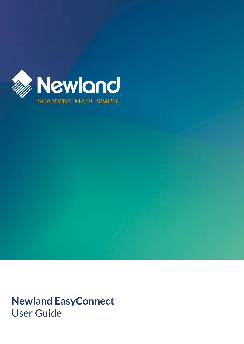

**Newland EasyConnect** User Guide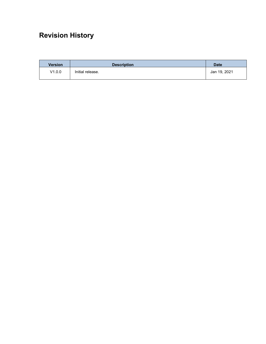# <span id="page-1-0"></span>**Revision History**

| <b>Version</b> | <b>Description</b> | <b>Date</b>  |
|----------------|--------------------|--------------|
| V1.0.0         | Initial release.   | Jan 19, 2021 |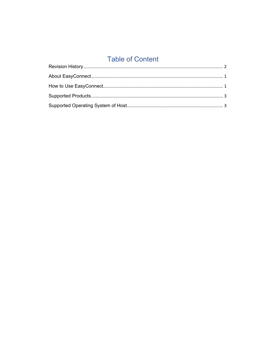# **Table of Content**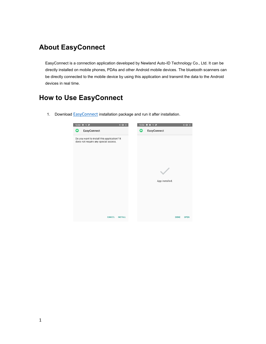## <span id="page-3-0"></span>**About EasyConnect**

EasyConnect is a connection application developed by Newland Auto-ID Technology Co., Ltd. It can be directly installed on mobile phones, PDAs and other Android mobile devices. The bluetooth scanners can be directly connected to the mobile device by using this application and transmit the data to the Android devices in real time.

## <span id="page-3-1"></span>**How to Use EasyConnect**

1. Download **[EasyConnect](http://nlota.com/easyconnect/)** installation package and run it after installation.

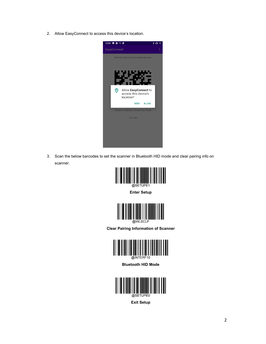2. Allow EasyConnect to access this device's location.



3. Scan the below barcodes to set the scanner in Bluetooth HID mode and clear pairing info on scanner.



**Enter Setup**



**Clear Pairing Information of Scanner**



**Bluetooth HID Mode**



**Exit Setup**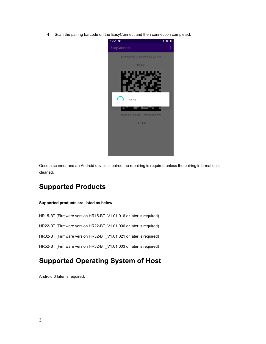4. Scan the pairing barcode on the EasyConnect and then connection completed.



Once a scanner and an Android device is paired, no repairing is required unless the pairing information is cleaned.

#### <span id="page-5-0"></span>**Supported Products**

#### **Supported products are listed as below**

HR15-BT (Firmware version HR15-BT\_V1.01.016 or later is required)

HR22-BT (Firmware version HR22-BT\_V1.01.006 or later is required)

HR32-BT (Firmware version HR32-BT\_V1.01.021 or later is required)

HR52-BT (Firmware version HR32-BT\_V1.01.003 or later is required)

### <span id="page-5-1"></span>**Supported Operating System of Host**

Android 6 later is required.